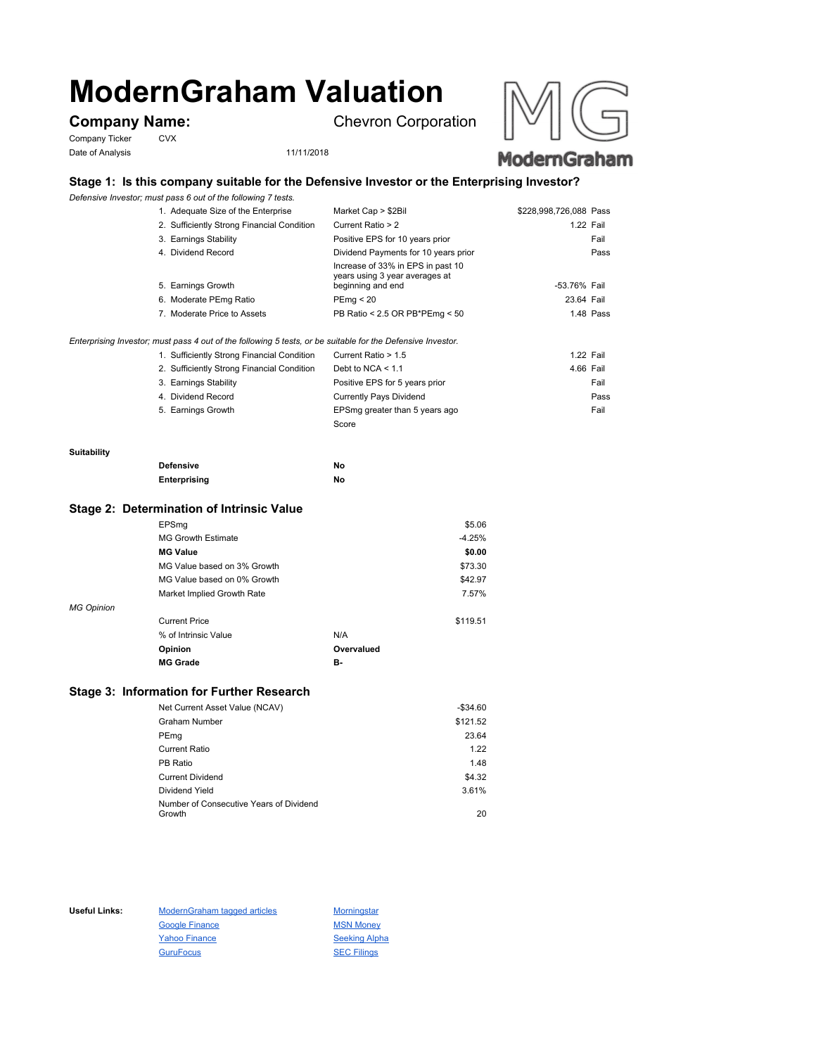# **ModernGraham Valuation**

Company Ticker CVX Date of Analysis 11/11/2018

**Company Name:** Chevron Corporation





# **Stage 1: Is this company suitable for the Defensive Investor or the Enterprising Investor?**

*Defensive Investor; must pass 6 out of the following 7 tests.*

| 1. Adequate Size of the Enterprise         | Market Cap > \$2Bil                                                                      | \$228,998,726,088 Pass |           |
|--------------------------------------------|------------------------------------------------------------------------------------------|------------------------|-----------|
| 2. Sufficiently Strong Financial Condition | Current Ratio > 2                                                                        | 1.22 Fail              |           |
| 3. Earnings Stability                      | Positive EPS for 10 years prior                                                          |                        | Fail      |
| 4. Dividend Record                         | Dividend Payments for 10 years prior                                                     |                        | Pass      |
| 5. Earnings Growth                         | Increase of 33% in EPS in past 10<br>years using 3 year averages at<br>beginning and end | -53.76% Fail           |           |
| 6. Moderate PEmg Ratio                     | PEmg < 20                                                                                | 23.64 Fail             |           |
| 7. Moderate Price to Assets                | PB Ratio < 2.5 OR PB*PEmg < 50                                                           |                        | 1.48 Pass |
|                                            |                                                                                          |                        |           |

## *Enterprising Investor; must pass 4 out of the following 5 tests, or be suitable for the Defensive Investor.*

| 1. Sufficiently Strong Financial Condition | Current Ratio > 1.5            | 1.22 Fail |      |
|--------------------------------------------|--------------------------------|-----------|------|
| 2. Sufficiently Strong Financial Condition | Debt to NCA $<$ 1.1            | 4.66 Fail |      |
| 3. Earnings Stability                      | Positive EPS for 5 years prior |           | Fail |
| 4. Dividend Record                         | <b>Currently Pays Dividend</b> |           | Pass |
| 5. Earnings Growth                         | EPSmg greater than 5 years ago |           | Fail |
|                                            | Score                          |           |      |

### **Suitability**

| <b>Defensive</b> | No |
|------------------|----|
| Enterprising     | No |

# **Stage 2: Determination of Intrinsic Value**

|                   | EPSmg                       |            | \$5.06   |
|-------------------|-----------------------------|------------|----------|
|                   | <b>MG Growth Estimate</b>   |            | $-4.25%$ |
|                   | <b>MG Value</b>             |            | \$0.00   |
|                   | MG Value based on 3% Growth |            | \$73.30  |
|                   | MG Value based on 0% Growth |            | \$42.97  |
|                   | Market Implied Growth Rate  |            | 7.57%    |
| <b>MG Opinion</b> |                             |            |          |
|                   | <b>Current Price</b>        |            | \$119.51 |
|                   | % of Intrinsic Value        | N/A        |          |
|                   | Opinion                     | Overvalued |          |
|                   | <b>MG Grade</b>             | в-         |          |
|                   |                             |            |          |

# **Stage 3: Information for Further Research**

| Net Current Asset Value (NCAV)          | $-$34.60$ |
|-----------------------------------------|-----------|
| Graham Number                           | \$121.52  |
| PEmg                                    | 23.64     |
| Current Ratio                           | 1.22      |
| PB Ratio                                | 1.48      |
| <b>Current Dividend</b>                 | \$4.32    |
| Dividend Yield                          | 3.61%     |
| Number of Consecutive Years of Dividend |           |
| Growth                                  | 20        |

Useful Links: ModernGraham tagged articles Morningstar Google Finance MSN Money Yahoo Finance Seeking Alpha GuruFocus SEC Filings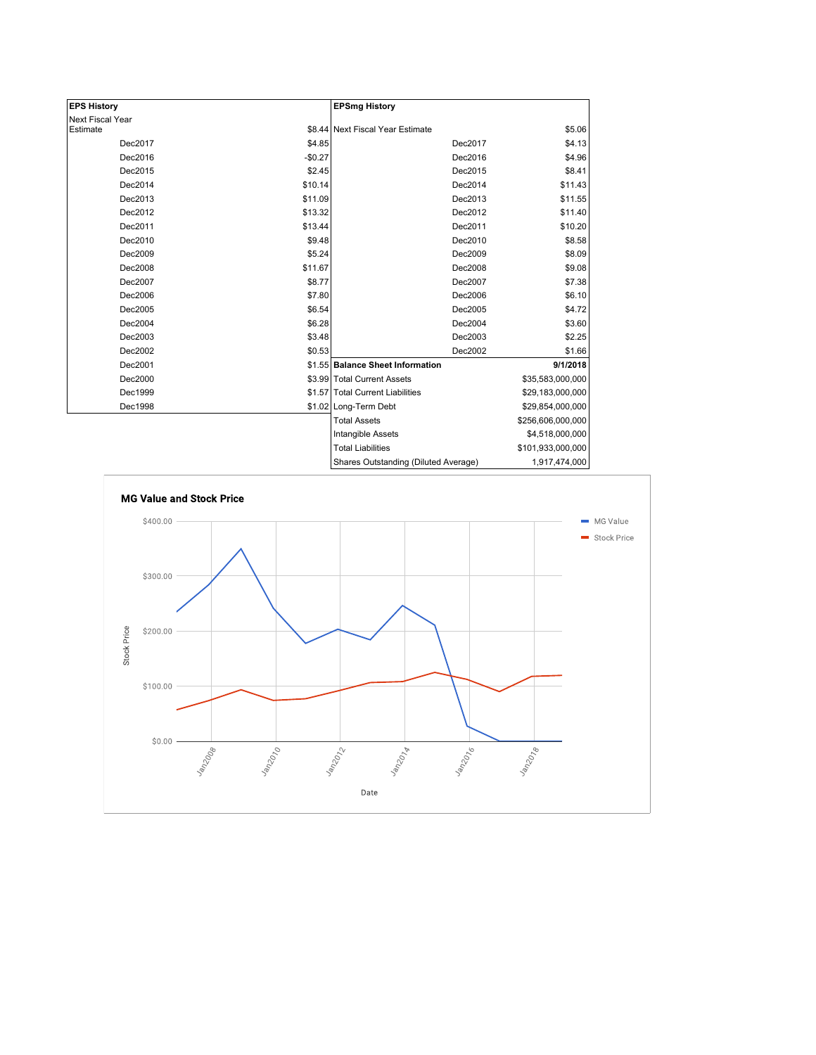| <b>EPS History</b> |          | <b>EPSmg History</b>                 |                   |
|--------------------|----------|--------------------------------------|-------------------|
| Next Fiscal Year   |          |                                      |                   |
| Estimate           |          | \$8.44 Next Fiscal Year Estimate     | \$5.06            |
| Dec2017            | \$4.85   | Dec2017                              | \$4.13            |
| Dec2016            | $-$0.27$ | Dec2016                              | \$4.96            |
| Dec2015            | \$2.45   | Dec2015                              | \$8.41            |
| Dec2014            | \$10.14  | Dec2014                              | \$11.43           |
| Dec2013            | \$11.09  | Dec2013                              | \$11.55           |
| Dec2012            | \$13.32  | Dec2012                              | \$11.40           |
| Dec2011            | \$13.44  | Dec2011                              | \$10.20           |
| Dec2010            | \$9.48   | Dec2010                              | \$8.58            |
| Dec2009            | \$5.24   | Dec2009                              | \$8.09            |
| Dec2008            | \$11.67  | Dec2008                              | \$9.08            |
| Dec2007            | \$8.77   | Dec2007                              | \$7.38            |
| Dec2006            | \$7.80   | Dec2006                              | \$6.10            |
| Dec2005            | \$6.54   | Dec2005                              | \$4.72            |
| Dec2004            | \$6.28   | Dec2004                              | \$3.60            |
| Dec2003            | \$3.48   | Dec2003                              | \$2.25            |
| Dec2002            | \$0.53   | Dec2002                              | \$1.66            |
| Dec2001            |          | \$1.55 Balance Sheet Information     | 9/1/2018          |
| Dec2000            |          | \$3.99 Total Current Assets          | \$35,583,000,000  |
| Dec1999            |          | \$1.57 Total Current Liabilities     | \$29,183,000,000  |
| Dec1998            |          | \$1.02 Long-Term Debt                | \$29,854,000,000  |
|                    |          | <b>Total Assets</b>                  | \$256,606,000,000 |
|                    |          | Intangible Assets                    | \$4,518,000,000   |
|                    |          | <b>Total Liabilities</b>             | \$101,933,000,000 |
|                    |          | Charge Qutetanding (Diluted Average) | 1.017.474.000     |